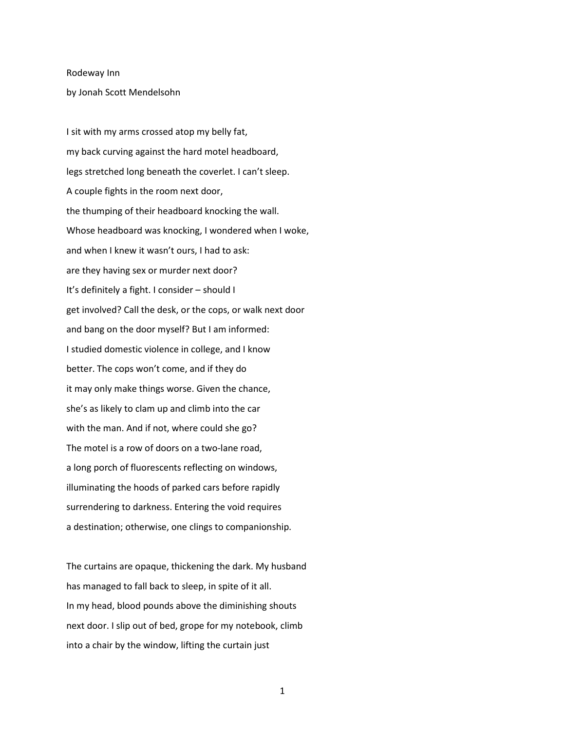## Rodeway Inn

by Jonah Scott Mendelsohn

I sit with my arms crossed atop my belly fat, my back curving against the hard motel headboard, legs stretched long beneath the coverlet. I can't sleep. A couple fights in the room next door, the thumping of their headboard knocking the wall. Whose headboard was knocking, I wondered when I woke, and when I knew it wasn't ours, I had to ask: are they having sex or murder next door? It's definitely a fight. I consider – should I get involved? Call the desk, or the cops, or walk next door and bang on the door myself? But I am informed: I studied domestic violence in college, and I know better. The cops won't come, and if they do it may only make things worse. Given the chance, she's as likely to clam up and climb into the car with the man. And if not, where could she go? The motel is a row of doors on a two-lane road, a long porch of fluorescents reflecting on windows, illuminating the hoods of parked cars before rapidly surrendering to darkness. Entering the void requires a destination; otherwise, one clings to companionship.

The curtains are opaque, thickening the dark. My husband has managed to fall back to sleep, in spite of it all. In my head, blood pounds above the diminishing shouts next door. I slip out of bed, grope for my notebook, climb into a chair by the window, lifting the curtain just

1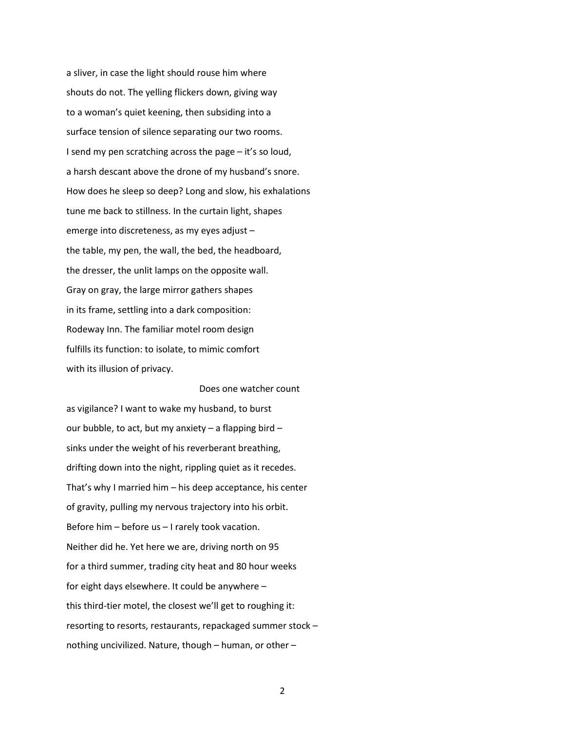a sliver, in case the light should rouse him where shouts do not. The yelling flickers down, giving way to a woman's quiet keening, then subsiding into a surface tension of silence separating our two rooms. I send my pen scratching across the page – it's so loud, a harsh descant above the drone of my husband's snore. How does he sleep so deep? Long and slow, his exhalations tune me back to stillness. In the curtain light, shapes emerge into discreteness, as my eyes adjust – the table, my pen, the wall, the bed, the headboard, the dresser, the unlit lamps on the opposite wall. Gray on gray, the large mirror gathers shapes in its frame, settling into a dark composition: Rodeway Inn. The familiar motel room design fulfills its function: to isolate, to mimic comfort with its illusion of privacy.

as vigilance? I want to wake my husband, to burst our bubble, to act, but my anxiety – a flapping bird – sinks under the weight of his reverberant breathing, drifting down into the night, rippling quiet as it recedes. That's why I married him – his deep acceptance, his center of gravity, pulling my nervous trajectory into his orbit. Before him – before us – I rarely took vacation. Neither did he. Yet here we are, driving north on 95 for a third summer, trading city heat and 80 hour weeks for eight days elsewhere. It could be anywhere – this third-tier motel, the closest we'll get to roughing it: resorting to resorts, restaurants, repackaged summer stock – nothing uncivilized. Nature, though – human, or other –

Does one watcher count

2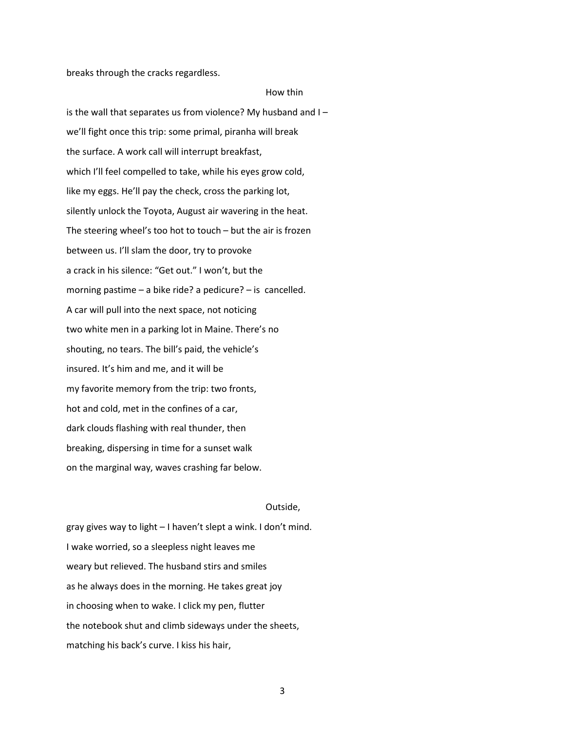breaks through the cracks regardless.

## How thin

is the wall that separates us from violence? My husband and I – we'll fight once this trip: some primal, piranha will break the surface. A work call will interrupt breakfast, which I'll feel compelled to take, while his eyes grow cold, like my eggs. He'll pay the check, cross the parking lot, silently unlock the Toyota, August air wavering in the heat. The steering wheel's too hot to touch – but the air is frozen between us. I'll slam the door, try to provoke a crack in his silence: "Get out." I won't, but the morning pastime – a bike ride? a pedicure? – is cancelled. A car will pull into the next space, not noticing two white men in a parking lot in Maine. There's no shouting, no tears. The bill's paid, the vehicle's insured. It's him and me, and it will be my favorite memory from the trip: two fronts, hot and cold, met in the confines of a car, dark clouds flashing with real thunder, then breaking, dispersing in time for a sunset walk on the marginal way, waves crashing far below.

## Outside,

gray gives way to light – I haven't slept a wink. I don't mind. I wake worried, so a sleepless night leaves me weary but relieved. The husband stirs and smiles as he always does in the morning. He takes great joy in choosing when to wake. I click my pen, flutter the notebook shut and climb sideways under the sheets, matching his back's curve. I kiss his hair,